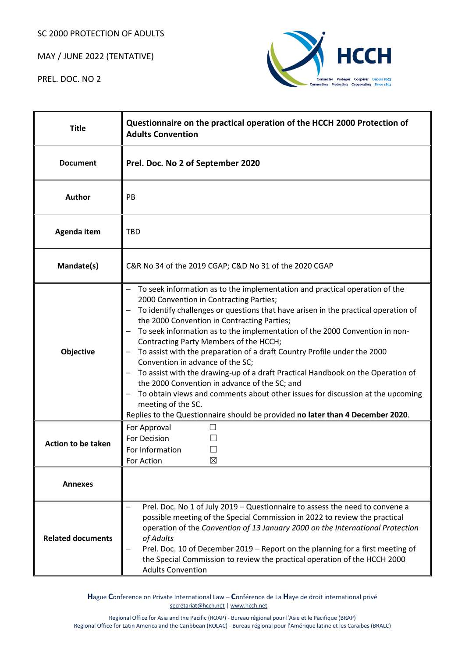SC 2000 PROTECTION OF ADULTS

MAY / JUNE 2022 (TENTATIVE)

PREL. DOC. NO 2



| <b>Title</b>              | Questionnaire on the practical operation of the HCCH 2000 Protection of<br><b>Adults Convention</b>                                                                                                                                                                                                                                                                                                                                                                                                                                                                                                                                                                                                                                                                                                                                                                                        |  |
|---------------------------|--------------------------------------------------------------------------------------------------------------------------------------------------------------------------------------------------------------------------------------------------------------------------------------------------------------------------------------------------------------------------------------------------------------------------------------------------------------------------------------------------------------------------------------------------------------------------------------------------------------------------------------------------------------------------------------------------------------------------------------------------------------------------------------------------------------------------------------------------------------------------------------------|--|
| <b>Document</b>           | Prel. Doc. No 2 of September 2020                                                                                                                                                                                                                                                                                                                                                                                                                                                                                                                                                                                                                                                                                                                                                                                                                                                          |  |
| Author                    | PB                                                                                                                                                                                                                                                                                                                                                                                                                                                                                                                                                                                                                                                                                                                                                                                                                                                                                         |  |
| Agenda item               | <b>TBD</b>                                                                                                                                                                                                                                                                                                                                                                                                                                                                                                                                                                                                                                                                                                                                                                                                                                                                                 |  |
| Mandate(s)                | C&R No 34 of the 2019 CGAP; C&D No 31 of the 2020 CGAP                                                                                                                                                                                                                                                                                                                                                                                                                                                                                                                                                                                                                                                                                                                                                                                                                                     |  |
| Objective                 | To seek information as to the implementation and practical operation of the<br>2000 Convention in Contracting Parties;<br>To identify challenges or questions that have arisen in the practical operation of<br>the 2000 Convention in Contracting Parties;<br>To seek information as to the implementation of the 2000 Convention in non-<br>$\overline{\phantom{m}}$<br>Contracting Party Members of the HCCH;<br>To assist with the preparation of a draft Country Profile under the 2000<br>Convention in advance of the SC;<br>To assist with the drawing-up of a draft Practical Handbook on the Operation of<br>$\overline{\phantom{m}}$<br>the 2000 Convention in advance of the SC; and<br>To obtain views and comments about other issues for discussion at the upcoming<br>meeting of the SC.<br>Replies to the Questionnaire should be provided no later than 4 December 2020. |  |
| <b>Action to be taken</b> | For Approval<br>$\Box$<br>For Decision<br>For Information<br>$\boxtimes$<br>For Action                                                                                                                                                                                                                                                                                                                                                                                                                                                                                                                                                                                                                                                                                                                                                                                                     |  |
| <b>Annexes</b>            |                                                                                                                                                                                                                                                                                                                                                                                                                                                                                                                                                                                                                                                                                                                                                                                                                                                                                            |  |
| <b>Related documents</b>  | Prel. Doc. No 1 of July 2019 - Questionnaire to assess the need to convene a<br>possible meeting of the Special Commission in 2022 to review the practical<br>operation of the Convention of 13 January 2000 on the International Protection<br>of Adults<br>Prel. Doc. 10 of December 2019 - Report on the planning for a first meeting of<br>the Special Commission to review the practical operation of the HCCH 2000<br><b>Adults Convention</b>                                                                                                                                                                                                                                                                                                                                                                                                                                       |  |

**H**ague **C**onference on Private International Law – **C**onférence de La **H**aye de droit international privé [secretariat@hcch.net](mailto:secretariat@hcch.net) [| www.hcch.net](http://www.hcch.net/)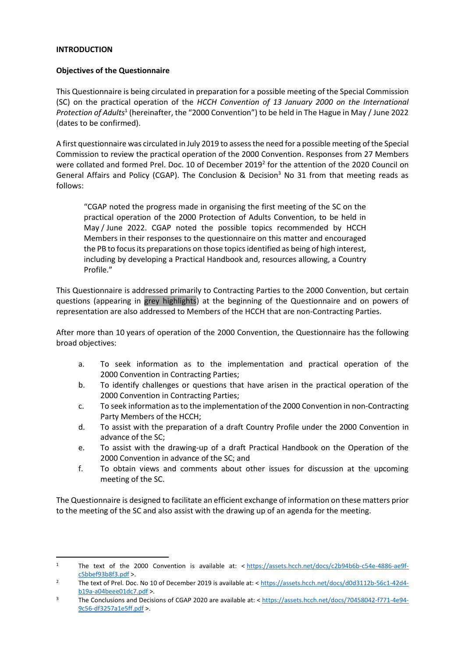### **INTRODUCTION**

### **Objectives of the Questionnaire**

This Questionnaire is being circulated in preparation for a possible meeting of the Special Commission (SC) on the practical operation of the *HCCH Convention of 13 January 2000 on the International*  Protection of Adults<sup>1</sup> (hereinafter, the "2000 Convention") to be held in The Hague in May / June 2022 (dates to be confirmed).

A first questionnaire was circulated in July 2019 to assess the need for a possible meeting of the Special Commission to review the practical operation of the 2000 Convention. Responses from 27 Members were collated and formed Prel. Doc. 10 of December 2019<sup>2</sup> for the attention of the 2020 Council on General Affairs and Policy (CGAP). The Conclusion & Decision<sup>3</sup> No 31 from that meeting reads as follows:

"CGAP noted the progress made in organising the first meeting of the SC on the practical operation of the 2000 Protection of Adults Convention, to be held in May / June 2022. CGAP noted the possible topics recommended by HCCH Members in their responses to the questionnaire on this matter and encouraged the PB to focus its preparations on those topics identified as being of high interest, including by developing a Practical Handbook and, resources allowing, a Country Profile."

This Questionnaire is addressed primarily to Contracting Parties to the 2000 Convention, but certain questions (appearing in grey highlights) at the beginning of the Questionnaire and on powers of representation are also addressed to Members of the HCCH that are non-Contracting Parties.

After more than 10 years of operation of the 2000 Convention, the Questionnaire has the following broad objectives:

- a. To seek information as to the implementation and practical operation of the 2000 Convention in Contracting Parties;
- b. To identify challenges or questions that have arisen in the practical operation of the 2000 Convention in Contracting Parties;
- c. To seek information as to the implementation of the 2000 Convention in non-Contracting Party Members of the HCCH;
- d. To assist with the preparation of a draft Country Profile under the 2000 Convention in advance of the SC;
- e. To assist with the drawing-up of a draft Practical Handbook on the Operation of the 2000 Convention in advance of the SC; and
- f. To obtain views and comments about other issues for discussion at the upcoming meeting of the SC.

The Questionnaire is designed to facilitate an efficient exchange of information on these matters prior to the meeting of the SC and also assist with the drawing up of an agenda for the meeting.

<sup>1</sup> The text of the 2000 Convention is available at: < [https://assets.hcch.net/docs/c2b94b6b-c54e-4886-ae9f](https://assets.hcch.net/docs/c2b94b6b-c54e-4886-ae9f-c5bbef93b8f3.pdf)[c5bbef93b8f3.pdf](https://assets.hcch.net/docs/c2b94b6b-c54e-4886-ae9f-c5bbef93b8f3.pdf) >.

<sup>&</sup>lt;sup>2</sup> The text of Prel. Doc. No 10 of December 2019 is available at: < [https://assets.hcch.net/docs/d0d3112b-56c1-42d4](https://assets.hcch.net/docs/d0d3112b-56c1-42d4-b19a-a04beee01dc7.pdf) [b19a-a04beee01dc7.pdf](https://assets.hcch.net/docs/d0d3112b-56c1-42d4-b19a-a04beee01dc7.pdf) >.

<sup>&</sup>lt;sup>3</sup> The Conclusions and Decisions of CGAP 2020 are available at: < [https://assets.hcch.net/docs/70458042-f771-4e94-](https://assets.hcch.net/docs/70458042-f771-4e94-9c56-df3257a1e5ff.pdf) [9c56-df3257a1e5ff.pdf](https://assets.hcch.net/docs/70458042-f771-4e94-9c56-df3257a1e5ff.pdf) >.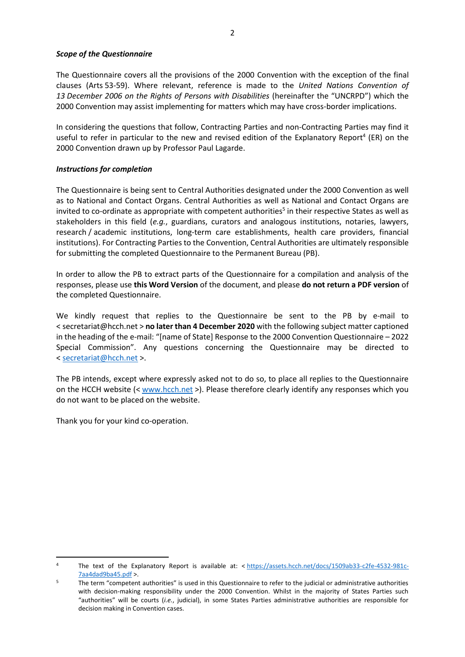### *Scope of the Questionnaire*

The Questionnaire covers all the provisions of the 2000 Convention with the exception of the final clauses (Arts 53-59). Where relevant, reference is made to the *United Nations Convention of 13 December 2006 on the Rights of Persons with Disabilities* (hereinafter the "UNCRPD") which the 2000 Convention may assist implementing for matters which may have cross-border implications.

In considering the questions that follow, Contracting Parties and non-Contracting Parties may find it useful to refer in particular to the new and revised edition of the Explanatory Report<sup>4</sup> (ER) on the 2000 Convention drawn up by Professor Paul Lagarde.

# *Instructions for completion*

The Questionnaire is being sent to Central Authorities designated under the 2000 Convention as well as to National and Contact Organs. Central Authorities as well as National and Contact Organs are invited to co-ordinate as appropriate with competent authorities<sup>5</sup> in their respective States as well as stakeholders in this field (*e.g.*, guardians, curators and analogous institutions, notaries, lawyers, research / academic institutions, long-term care establishments, health care providers, financial institutions). For Contracting Parties to the Convention, Central Authorities are ultimately responsible for submitting the completed Questionnaire to the Permanent Bureau (PB).

In order to allow the PB to extract parts of the Questionnaire for a compilation and analysis of the responses, please use **this Word Version** of the document, and please **do not return a PDF version** of the completed Questionnaire.

We kindly request that replies to the Questionnaire be sent to the PB by e-mail to < secretariat@hcch.net > **no later than 4 December 2020** with the following subject matter captioned in the heading of the e-mail: "[name of State] Response to the 2000 Convention Questionnaire – 2022 Special Commission". Any questions concerning the Questionnaire may be directed to < [secretariat@hcch.net](mailto:secretariat@hcch.net) >.

The PB intends, except where expressly asked not to do so, to place all replies to the Questionnaire on the HCCH website (< [www.hcch.net](http://www.hcch.net/) >). Please therefore clearly identify any responses which you do not want to be placed on the website.

Thank you for your kind co-operation.

The text of the Explanatory Report is available at: < [https://assets.hcch.net/docs/1509ab33-c2fe-4532-981c-](https://assets.hcch.net/docs/1509ab33-c2fe-4532-981c-7aa4dad9ba45.pdf)[7aa4dad9ba45.pdf](https://assets.hcch.net/docs/1509ab33-c2fe-4532-981c-7aa4dad9ba45.pdf) >.

<sup>&</sup>lt;sup>5</sup> The term "competent authorities" is used in this Questionnaire to refer to the judicial or administrative authorities with decision-making responsibility under the 2000 Convention. Whilst in the majority of States Parties such "authorities" will be courts (*i.e.*, judicial), in some States Parties administrative authorities are responsible for decision making in Convention cases.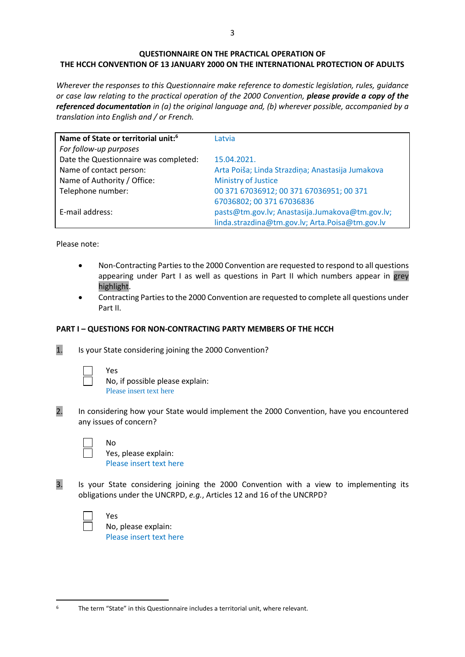# **QUESTIONNAIRE ON THE PRACTICAL OPERATION OF THE HCCH CONVENTION OF 13 JANUARY 2000 ON THE INTERNATIONAL PROTECTION OF ADULTS**

*Wherever the responses to this Questionnaire make reference to domestic legislation, rules, guidance or case law relating to the practical operation of the 2000 Convention, please provide a copy of the referenced documentation in (a) the original language and, (b) wherever possible, accompanied by a translation into English and / or French.*

| Name of State or territorial unit: <sup>6</sup> | Latvia                                           |
|-------------------------------------------------|--------------------------------------------------|
| For follow-up purposes                          |                                                  |
| Date the Questionnaire was completed:           | 15.04.2021.                                      |
| Name of contact person:                         | Arta Poiša; Linda Strazdiņa; Anastasija Jumakova |
| Name of Authority / Office:                     | Ministry of Justice                              |
| Telephone number:                               | 00 371 67036912; 00 371 67036951; 00 371         |
|                                                 | 67036802; 00 371 67036836                        |
| E-mail address:                                 | pasts@tm.gov.lv; Anastasija.Jumakova@tm.gov.lv;  |
|                                                 | linda.strazdina@tm.gov.lv; Arta.Poisa@tm.gov.lv  |

Please note:

- Non-Contracting Parties to the 2000 Convention are requested to respond to all questions appearing under Part I as well as questions in Part II which numbers appear in grey highlight.
- Contracting Parties to the 2000 Convention are requested to complete all questions under Part II.

# **PART I – QUESTIONS FOR NON-CONTRACTING PARTY MEMBERS OF THE HCCH**

1. Is your State considering joining the 2000 Convention?

| ٧<br>ΑS |
|---------|
|         |

No, if possible please explain: Please insert text here

2. In considering how your State would implement the 2000 Convention, have you encountered any issues of concern?

No

Yes, please explain: Please insert text here

3. Is your State considering joining the 2000 Convention with a view to implementing its obligations under the UNCRPD, *e.g.*, Articles 12 and 16 of the UNCRPD?

Yes No, please explain: Please insert text here

<sup>&</sup>lt;sup>6</sup> The term "State" in this Questionnaire includes a territorial unit, where relevant.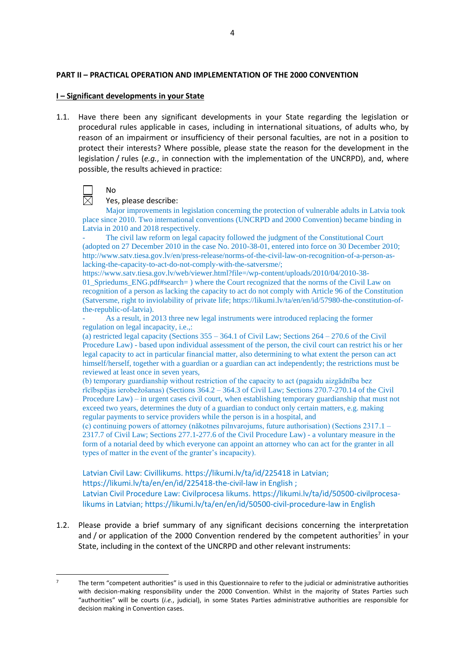### **PART II – PRACTICAL OPERATION AND IMPLEMENTATION OF THE 2000 CONVENTION**

### **I – Significant developments in your State**

1.1. Have there been any significant developments in your State regarding the legislation or procedural rules applicable in cases, including in international situations, of adults who, by reason of an impairment or insufficiency of their personal faculties, are not in a position to protect their interests? Where possible, please state the reason for the development in the legislation / rules (*e.g.*, in connection with the implementation of the UNCRPD), and, where possible, the results achieved in practice:



No

### Yes, please describe:

Major improvements in legislation concerning the protection of vulnerable adults in Latvia took place since 2010. Two international conventions (UNCRPD and 2000 Convention) became binding in Latvia in 2010 and 2018 respectively.

The civil law reform on legal capacity followed the judgment of the Constitutional Court (adopted on 27 December 2010 in the case No. 2010-38-01, entered into force on 30 December 2010; http://www.satv.tiesa.gov.lv/en/press-release/norms-of-the-civil-law-on-recognition-of-a-person-aslacking-the-capacity-to-act-do-not-comply-with-the-satversme/;

https://www.satv.tiesa.gov.lv/web/viewer.html?file=/wp-content/uploads/2010/04/2010-38- 01 Spriedums ENG.pdf#search= ) where the Court recognized that the norms of the Civil Law on recognition of a person as lacking the capacity to act do not comply with Article 96 of the Constitution (Satversme, right to inviolability of private life; https://likumi.lv/ta/en/en/id/57980-the-constitution-ofthe-republic-of-latvia).

As a result, in 2013 three new legal instruments were introduced replacing the former regulation on legal incapacity, i.e.,:

(a) restricted legal capacity (Sections 355 – 364.1 of Civil Law; Sections 264 – 270.6 of the Civil Procedure Law) - based upon individual assessment of the person, the civil court can restrict his or her legal capacity to act in particular financial matter, also determining to what extent the person can act himself/herself, together with a guardian or a guardian can act independently; the restrictions must be reviewed at least once in seven years,

(b) temporary guardianship without restriction of the capacity to act (pagaidu aizgādnība bez rīcībspējas ierobežošanas) (Sections 364.2 – 364.3 of Civil Law; Sections 270.7-270.14 of the Civil Procedure Law) – in urgent cases civil court, when establishing temporary guardianship that must not exceed two years, determines the duty of a guardian to conduct only certain matters, e.g. making regular payments to service providers while the person is in a hospital, and

(c) continuing powers of attorney (nākotnes pilnvarojums, future authorisation) (Sections 2317.1 – 2317.7 of Civil Law; Sections 277.1-277.6 of the Civil Procedure Law) - a voluntary measure in the form of a notarial deed by which everyone can appoint an attorney who can act for the granter in all types of matter in the event of the granter's incapacity).

Latvian Civil Law: Civillikums. https://likumi.lv/ta/id/225418 in Latvian; https://likumi.lv/ta/en/en/id/225418-the-civil-law in English ; Latvian Civil Procedure Law: Civilprocesa likums. https://likumi.lv/ta/id/50500-civilprocesalikums in Latvian; https://likumi.lv/ta/en/en/id/50500-civil-procedure-law in English

1.2. Please provide a brief summary of any significant decisions concerning the interpretation and / or application of the 2000 Convention rendered by the competent authorities<sup>7</sup> in your State, including in the context of the UNCRPD and other relevant instruments:

<sup>7</sup> The term "competent authorities" is used in this Questionnaire to refer to the judicial or administrative authorities with decision-making responsibility under the 2000 Convention. Whilst in the majority of States Parties such "authorities" will be courts (*i.e.*, judicial), in some States Parties administrative authorities are responsible for decision making in Convention cases.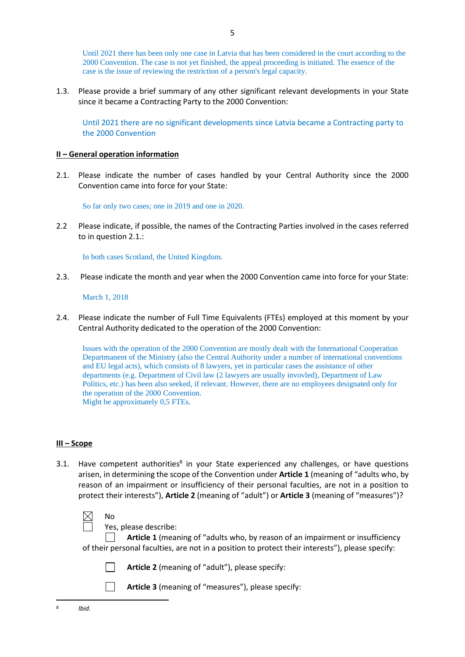Until 2021 there has been only one case in Latvia that has been considered in the court according to the 2000 Convention. The case is not yet finished, the appeal proceeding is initiated. The essence of the case is the issue of reviewing the restriction of a person's legal capacity.

1.3. Please provide a brief summary of any other significant relevant developments in your State since it became a Contracting Party to the 2000 Convention:

5

Until 2021 there are no significant developments since Latvia became a Contracting party to the 2000 Convention

### **II – General operation information**

2.1. Please indicate the number of cases handled by your Central Authority since the 2000 Convention came into force for your State:

So far only two cases; one in 2019 and one in 2020.

2.2 Please indicate, if possible, the names of the Contracting Parties involved in the cases referred to in question 2.1.:

In both cases Scotland, the United Kingdom.

2.3. Please indicate the month and year when the 2000 Convention came into force for your State:

March 1, 2018

2.4. Please indicate the number of Full Time Equivalents (FTEs) employed at this moment by your Central Authority dedicated to the operation of the 2000 Convention:

Issues with the operation of the 2000 Convention are mostly dealt with the International Cooperation Departmanent of the Ministry (also the Central Authority under a number of international conventions and EU legal acts), which consists of 8 lawyers, yet in particular cases the assistance of other departments (e.g. Department of Civil law (2 lawyers are usually invovled), Department of Law Politics, etc.) has been also seeked, if relevant. However, there are no employees designated only for the operation of the 2000 Convention. Might be approximately 0,5 FTEs.

### **III – Scope**

3.1. Have competent authorities<sup>8</sup> in your State experienced any challenges, or have questions arisen, in determining the scope of the Convention under **Article 1** (meaning of "adults who, by reason of an impairment or insufficiency of their personal faculties, are not in a position to protect their interests"), **Article 2** (meaning of "adult") or **Article 3** (meaning of "measures")?



Yes, please describe:

**Article 1** (meaning of "adults who, by reason of an impairment or insufficiency of their personal faculties, are not in a position to protect their interests"), please specify:



 $\Box$ 

- **Article 2** (meaning of "adult"), please specify:
- **Article 3** (meaning of "measures"), please specify: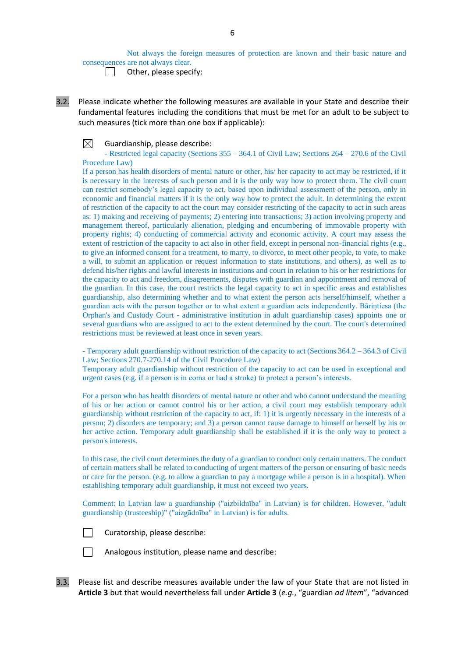Not always the foreign measures of protection are known and their basic nature and consequences are not always clear.

Other, please specify:

3.2. Please indicate whether the following measures are available in your State and describe their fundamental features including the conditions that must be met for an adult to be subject to such measures (tick more than one box if applicable):

 $\boxtimes$ Guardianship, please describe:

- Restricted legal capacity (Sections 355 – 364.1 of Civil Law; Sections 264 – 270.6 of the Civil Procedure Law)

If a person has health disorders of mental nature or other, his/ her capacity to act may be restricted, if it is necessary in the interests of such person and it is the only way how to protect them. The civil court can restrict somebody's legal capacity to act, based upon individual assessment of the person, only in economic and financial matters if it is the only way how to protect the adult. In determining the extent of restriction of the capacity to act the court may consider restricting of the capacity to act in such areas as: 1) making and receiving of payments; 2) entering into transactions; 3) action involving property and management thereof, particularly alienation, pledging and encumbering of immovable property with property rights; 4) conducting of commercial activity and economic activity. A court may assess the extent of restriction of the capacity to act also in other field, except in personal non-financial rights (e.g., to give an informed consent for a treatment, to marry, to divorce, to meet other people, to vote, to make a will, to submit an application or request information to state institutions, and others), as well as to defend his/her rights and lawful interests in institutions and court in relation to his or her restrictions for the capacity to act and freedom, disagreements, disputes with guardian and appointment and removal of the guardian. In this case, the court restricts the legal capacity to act in specific areas and establishes guardianship, also determining whether and to what extent the person acts herself/himself, whether a guardian acts with the person together or to what extent a guardian acts independently. Bāriņtiesa (the Orphan's and Custody Court - administrative institution in adult guardianship cases) appoints one or several guardians who are assigned to act to the extent determined by the court. The court's determined restrictions must be reviewed at least once in seven years.

- Temporary adult guardianship without restriction of the capacity to act (Sections 364.2 – 364.3 of Civil Law; Sections 270.7-270.14 of the Civil Procedure Law)

Temporary adult guardianship without restriction of the capacity to act can be used in exceptional and urgent cases (e.g. if a person is in coma or had a stroke) to protect a person's interests.

For a person who has health disorders of mental nature or other and who cannot understand the meaning of his or her action or cannot control his or her action, a civil court may establish temporary adult guardianship without restriction of the capacity to act, if: 1) it is urgently necessary in the interests of a person; 2) disorders are temporary; and 3) a person cannot cause damage to himself or herself by his or her active action. Temporary adult guardianship shall be established if it is the only way to protect a person's interests.

In this case, the civil court determines the duty of a guardian to conduct only certain matters. The conduct of certain matters shall be related to conducting of urgent matters of the person or ensuring of basic needs or care for the person. (e.g. to allow a guardian to pay a mortgage while a person is in a hospital). When establishing temporary adult guardianship, it must not exceed two years.

Comment: In Latvian law a guardianship ("aizbildnība" in Latvian) is for children. However, "adult guardianship (trusteeship)" ("aizgādnība" in Latvian) is for adults.



Curatorship, please describe:



Analogous institution, please name and describe:

3.3. Please list and describe measures available under the law of your State that are not listed in **Article 3** but that would nevertheless fall under **Article 3** (*e.g.*, "guardian *ad litem*", "advanced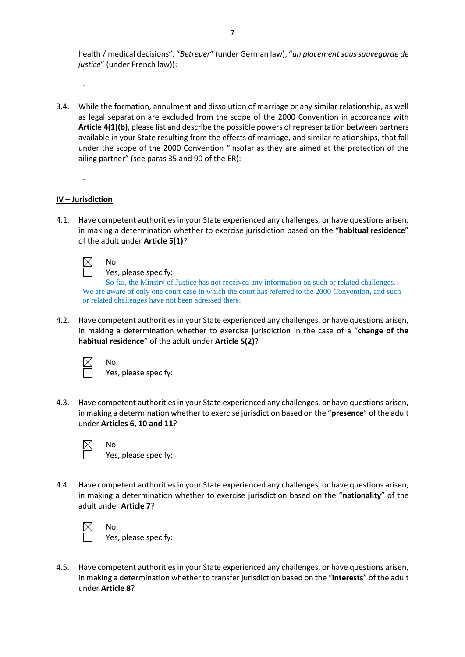health / medical decisions", "*Betreuer*" (under German law), "*un placement sous sauvegarde de justice*" (under French law)):

3.4. While the formation, annulment and dissolution of marriage or any similar relationship, as well as legal separation are excluded from the scope of the 2000 Convention in accordance with **Article 4(1)(b)**, please list and describe the possible powers of representation between partners available in your State resulting from the effects of marriage, and similar relationships, that fall under the scope of the 2000 Convention "insofar as they are aimed at the protection of the ailing partner" (see paras 35 and 90 of the ER):

### **IV – Jurisdiction**

-

-

4.1. Have competent authorities in your State experienced any challenges, or have questions arisen, in making a determination whether to exercise jurisdiction based on the "**habitual residence**" of the adult under **Article 5(1)**?

No

Yes, please specify:

So far, the Minstry of Justice has not received any information on such or related challenges. We are aware of only one court case in which the court has referred to the 2000 Convention, and such or related challenges have not been adressed there.

4.2. Have competent authorities in your State experienced any challenges, or have questions arisen, in making a determination whether to exercise jurisdiction in the case of a "**change of the habitual residence**" of the adult under **Article 5(2)**?



No Yes, please specify:

4.3. Have competent authorities in your State experienced any challenges, or have questions arisen, in making a determination whether to exercise jurisdiction based on the "**presence**" of the adult under **Articles 6, 10 and 11**?



No Yes, please specify:

4.4. Have competent authorities in your State experienced any challenges, or have questions arisen, in making a determination whether to exercise jurisdiction based on the "**nationality**" of the adult under **Article 7**?



No Yes, please specify:

4.5. Have competent authorities in your State experienced any challenges, or have questions arisen, in making a determination whether to transfer jurisdiction based on the "**interests**" of the adult under **Article 8**?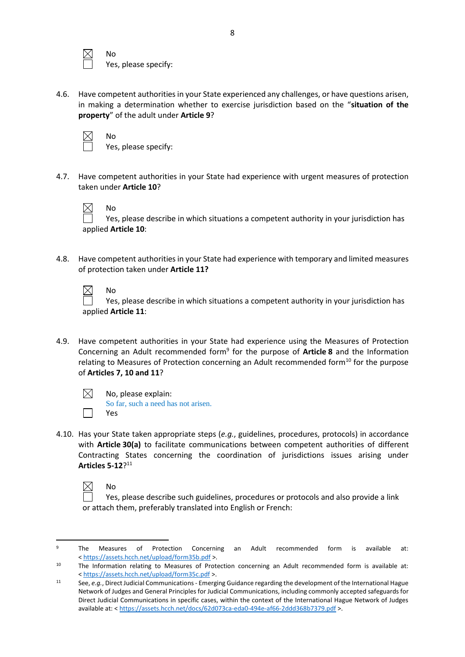No Yes, please specify:

4.6. Have competent authorities in your State experienced any challenges, or have questions arisen, in making a determination whether to exercise jurisdiction based on the "**situation of the property**" of the adult under **Article 9**?



No Yes, please specify:

4.7. Have competent authorities in your State had experience with urgent measures of protection taken under **Article 10**?



No

No

Yes, please describe in which situations a competent authority in your jurisdiction has applied **Article 10**:

4.8. Have competent authorities in your State had experience with temporary and limited measures of protection taken under **Article 11?**

Yes, please describe in which situations a competent authority in your jurisdiction has applied **Article 11**:

4.9. Have competent authorities in your State had experience using the Measures of Protection Concerning an Adult recommended form<sup>9</sup> for the purpose of **Article 8** and the Information relating to Measures of Protection concerning an Adult recommended form<sup>10</sup> for the purpose of **Articles 7, 10 and 11**?

 $\boxtimes$ 

No, please explain: So far, such a need has not arisen. Yes

4.10. Has your State taken appropriate steps (*e.g.*, guidelines, procedures, protocols) in accordance with **Article 30(a)** to facilitate communications between competent authorities of different Contracting States concerning the coordination of jurisdictions issues arising under **Articles 5-12**? 11



No

Yes, please describe such guidelines, procedures or protocols and also provide a link or attach them, preferably translated into English or French:

<sup>9</sup> The Measures of Protection Concerning an Adult recommended form is available at: < <https://assets.hcch.net/upload/form35b.pdf> >.

<sup>&</sup>lt;sup>10</sup> The Information relating to Measures of Protection concerning an Adult recommended form is available at: < <https://assets.hcch.net/upload/form35c.pdf> >.

<sup>11</sup> See, *e.g.*, Direct Judicial Communications - Emerging Guidance regarding the development of the International Hague Network of Judges and General Principles for Judicial Communications, including commonly accepted safeguards for Direct Judicial Communications in specific cases, within the context of the International Hague Network of Judges available at: < <https://assets.hcch.net/docs/62d073ca-eda0-494e-af66-2ddd368b7379.pdf> >.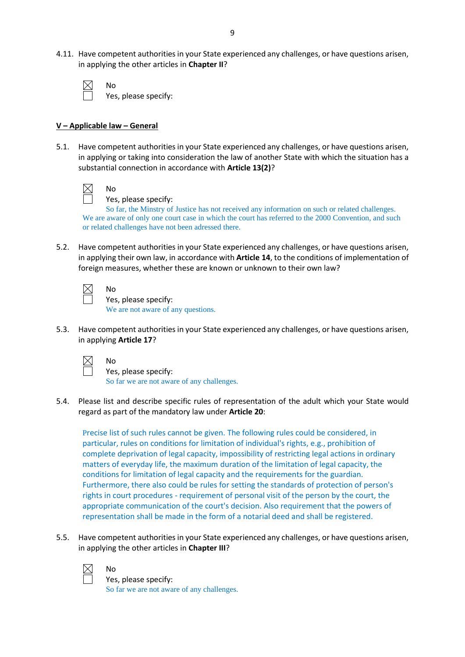4.11. Have competent authorities in your State experienced any challenges, or have questions arisen, in applying the other articles in **Chapter II**?

| No            |
|---------------|
| ŕ<br>Y۰<br>e. |

Yes, please specify:

### **V – Applicable law – General**

No

5.1. Have competent authorities in your State experienced any challenges, or have questions arisen, in applying or taking into consideration the law of another State with which the situation has a substantial connection in accordance with **Article 13(2)**?

Yes, please specify:

So far, the Minstry of Justice has not received any information on such or related challenges. We are aware of only one court case in which the court has referred to the 2000 Convention, and such or related challenges have not been adressed there.

5.2. Have competent authorities in your State experienced any challenges, or have questions arisen, in applying their own law, in accordance with **Article 14**, to the conditions of implementation of foreign measures, whether these are known or unknown to their own law?

No Yes, please specify: We are not aware of any questions.

5.3. Have competent authorities in your State experienced any challenges, or have questions arisen, in applying **Article 17**?

No

Yes, please specify: So far we are not aware of any challenges.

5.4. Please list and describe specific rules of representation of the adult which your State would regard as part of the mandatory law under **Article 20**:

Precise list of such rules cannot be given. The following rules could be considered, in particular, rules on conditions for limitation of individual's rights, e.g., prohibition of complete deprivation of legal capacity, impossibility of restricting legal actions in ordinary matters of everyday life, the maximum duration of the limitation of legal capacity, the conditions for limitation of legal capacity and the requirements for the guardian. Furthermore, there also could be rules for setting the standards of protection of person's rights in court procedures - requirement of personal visit of the person by the court, the appropriate communication of the court's decision. Also requirement that the powers of representation shall be made in the form of a notarial deed and shall be registered.

5.5. Have competent authorities in your State experienced any challenges, or have questions arisen, in applying the other articles in **Chapter III**?



No

Yes, please specify: So far we are not aware of any challenges.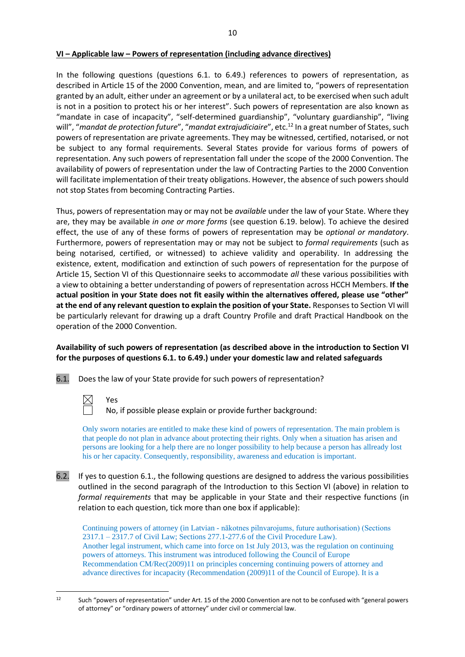### **VI – Applicable law – Powers of representation (including advance directives)**

In the following questions (questions 6.1. to 6.49.) references to powers of representation, as described in Article 15 of the 2000 Convention, mean, and are limited to, "powers of representation granted by an adult, either under an agreement or by a unilateral act, to be exercised when such adult is not in a position to protect his or her interest". Such powers of representation are also known as "mandate in case of incapacity", "self-determined guardianship", "voluntary guardianship", "living will", "*mandat de protection future*", "*mandat extrajudiciaire*", etc.<sup>12</sup> In a great number of States, such powers of representation are private agreements. They may be witnessed, certified, notarised, or not be subject to any formal requirements. Several States provide for various forms of powers of representation. Any such powers of representation fall under the scope of the 2000 Convention. The availability of powers of representation under the law of Contracting Parties to the 2000 Convention will facilitate implementation of their treaty obligations. However, the absence of such powers should not stop States from becoming Contracting Parties.

Thus, powers of representation may or may not be *available* under the law of your State. Where they are, they may be available *in one or more forms* (see question 6.19. below)*.* To achieve the desired effect, the use of any of these forms of powers of representation may be *optional or mandatory*. Furthermore, powers of representation may or may not be subject to *formal requirements* (such as being notarised, certified, or witnessed) to achieve validity and operability. In addressing the existence, extent, modification and extinction of such powers of representation for the purpose of Article 15, Section VI of this Questionnaire seeks to accommodate *all* these various possibilities with a view to obtaining a better understanding of powers of representation across HCCH Members. **If the actual position in your State does not fit easily within the alternatives offered, please use "other" at the end of any relevant question to explain the position of your State.** Responses to Section VI will be particularly relevant for drawing up a draft Country Profile and draft Practical Handbook on the operation of the 2000 Convention.

### **Availability of such powers of representation (as described above in the introduction to Section VI for the purposes of questions 6.1. to 6.49.) under your domestic law and related safeguards**

6.1. Does the law of your State provide for such powers of representation?



No, if possible please explain or provide further background:

Only sworn notaries are entitled to make these kind of powers of representation. The main problem is that people do not plan in advance about protecting their rights. Only when a situation has arisen and persons are looking for a help there are no longer possibility to help because a person has allready lost his or her capacity. Consequently, responsibility, awareness and education is important.

6.2. If yes to question 6.1., the following questions are designed to address the various possibilities outlined in the second paragraph of the Introduction to this Section VI (above) in relation to *formal requirements* that may be applicable in your State and their respective functions (in relation to each question, tick more than one box if applicable):

Continuing powers of attorney (in Latvian - nākotnes pilnvarojums, future authorisation) (Sections 2317.1 – 2317.7 of Civil Law; Sections 277.1-277.6 of the Civil Procedure Law). Another legal instrument, which came into force on 1st July 2013, was the regulation on continuing powers of attorneys. This instrument was introduced following the Council of Europe Recommendation CM/Rec(2009)11 on principles concerning continuing powers of attorney and advance directives for incapacity (Recommendation (2009)11 of the Council of Europe). It is a

<sup>12</sup> Such "powers of representation" under Art. 15 of the 2000 Convention are not to be confused with "general powers of attorney" or "ordinary powers of attorney" under civil or commercial law.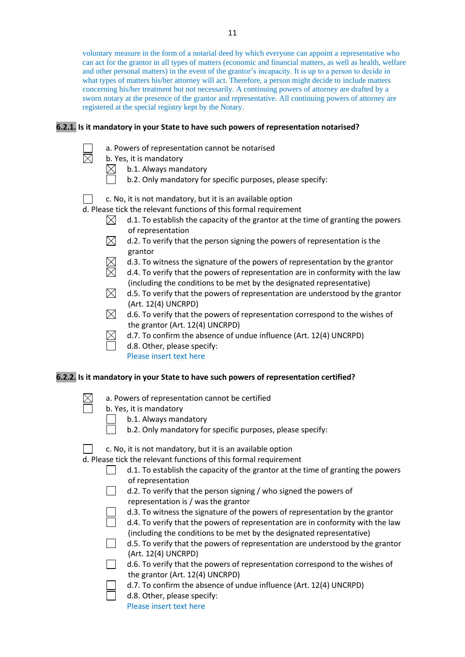voluntary measure in the form of a notarial deed by which everyone can appoint a representative who can act for the grantor in all types of matters (economic and financial matters, as well as health, welfare and other personal matters) in the event of the grantor's incapacity. It is up to a person to decide in what types of matters his/her attorney will act. Therefore, a person might decide to include matters concerning his/her treatment but not necessarily. A continuing powers of attorney are drafted by a sworn notary at the presence of the grantor and representative. All continuing powers of attorney are registered at the special registry kept by the Notary.

### **6.2.1. Is it mandatory in your State to have such powers of representation notarised?**

- a. Powers of representation cannot be notarised
- b. Yes, it is mandatory

 $\boxtimes$ 

- $\boxtimes$ b.1. Always mandatory
	- b.2. Only mandatory for specific purposes, please specify:
- c. No, it is not mandatory, but it is an available option
- d. Please tick the relevant functions of this formal requirement
	- $\boxtimes$ d.1. To establish the capacity of the grantor at the time of granting the powers of representation
	- $\boxtimes$  d.2. To verify that the person signing the powers of representation is the grantor
	- d.3. To witness the signature of the powers of representation by the grantor
	- d.4. To verify that the powers of representation are in conformity with the law (including the conditions to be met by the designated representative)
	- $\boxtimes$  d.5. To verify that the powers of representation are understood by the grantor (Art. 12(4) UNCRPD)
	- $\boxtimes$  d.6. To verify that the powers of representation correspond to the wishes of the grantor (Art. 12(4) UNCRPD)
	- d.7. To confirm the absence of undue influence (Art. 12(4) UNCRPD)
		- d.8. Other, please specify: Please insert text here

### **6.2.2. Is it mandatory in your State to have such powers of representation certified?**

- a. Powers of representation cannot be certified
- b. Yes, it is mandatory
	- b.1. Always mandatory
		- b.2. Only mandatory for specific purposes, please specify:
- c. No, it is not mandatory, but it is an available option

d. Please tick the relevant functions of this formal requirement

- d.1. To establish the capacity of the grantor at the time of granting the powers  $\Box$ of representation
	- d.2. To verify that the person signing / who signed the powers of representation is / was the grantor
	- d.3. To witness the signature of the powers of representation by the grantor
	- d.4. To verify that the powers of representation are in conformity with the law (including the conditions to be met by the designated representative)
	- d.5. To verify that the powers of representation are understood by the grantor (Art. 12(4) UNCRPD)
- d.6. To verify that the powers of representation correspond to the wishes of the grantor (Art. 12(4) UNCRPD)
	- d.7. To confirm the absence of undue influence (Art. 12(4) UNCRPD)
	- d.8. Other, please specify:
		- Please insert text here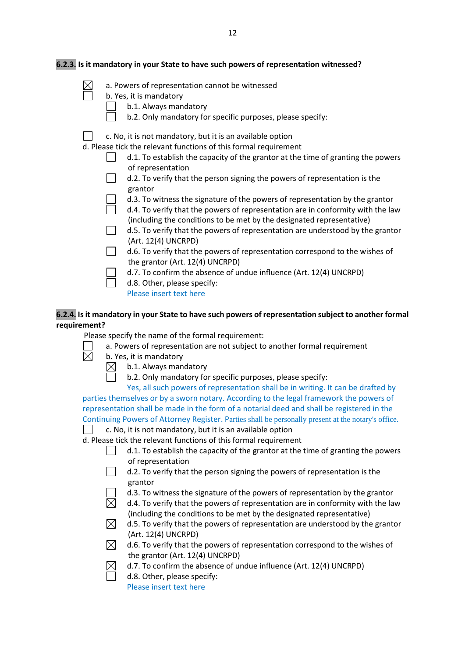| a. Powers of representation cannot be witnessed<br>b. Yes, it is mandatory<br>b.1. Always mandatory<br>b.2. Only mandatory for specific purposes, please specify:<br>c. No, it is not mandatory, but it is an available option<br>d. Please tick the relevant functions of this formal requirement<br>d.1. To establish the capacity of the grantor at the time of granting the powers<br>of representation<br>d.2. To verify that the person signing the powers of representation is the<br>grantor<br>d.3. To witness the signature of the powers of representation by the grantor<br>d.4. To verify that the powers of representation are in conformity with the law<br>(including the conditions to be met by the designated representative)<br>d.5. To verify that the powers of representation are understood by the grantor<br>(Art. 12(4) UNCRPD)<br>d.6. To verify that the powers of representation correspond to the wishes of<br>the grantor (Art. 12(4) UNCRPD)<br>d.7. To confirm the absence of undue influence (Art. 12(4) UNCRPD)<br>d.8. Other, please specify:<br>Please insert text here | 6.2.3. Is it mandatory in your State to have such powers of representation witnessed? |
|--------------------------------------------------------------------------------------------------------------------------------------------------------------------------------------------------------------------------------------------------------------------------------------------------------------------------------------------------------------------------------------------------------------------------------------------------------------------------------------------------------------------------------------------------------------------------------------------------------------------------------------------------------------------------------------------------------------------------------------------------------------------------------------------------------------------------------------------------------------------------------------------------------------------------------------------------------------------------------------------------------------------------------------------------------------------------------------------------------------|---------------------------------------------------------------------------------------|
|                                                                                                                                                                                                                                                                                                                                                                                                                                                                                                                                                                                                                                                                                                                                                                                                                                                                                                                                                                                                                                                                                                              |                                                                                       |
|                                                                                                                                                                                                                                                                                                                                                                                                                                                                                                                                                                                                                                                                                                                                                                                                                                                                                                                                                                                                                                                                                                              |                                                                                       |

# **6.2.4. Is it mandatory in your State to have such powers of representation subject to another formal requirement?**

Please specify the name of the formal requirement:

- a. Powers of representation are not subject to another formal requirement
- 岗 b. Yes, it is mandatory
	- b.1. Always mandatory  $\boxtimes$ 
		- b.2. Only mandatory for specific purposes, please specify:

Yes, all such powers of representation shall be in writing. It can be drafted by parties themselves or by a sworn notary. According to the legal framework the powers of representation shall be made in the form of a notarial deed and shall be registered in the Continuing Powers of Attorney Register. Parties shall be personally present at the notary's office.

c. No, it is not mandatory, but it is an available option

d. Please tick the relevant functions of this formal requirement

- d.1. To establish the capacity of the grantor at the time of granting the powers of representation
- d.2. To verify that the person signing the powers of representation is the grantor
- d.3. To witness the signature of the powers of representation by the grantor
- $\overline{\boxtimes}$ d.4. To verify that the powers of representation are in conformity with the law (including the conditions to be met by the designated representative)
- $\boxtimes$  d.5. To verify that the powers of representation are understood by the grantor (Art. 12(4) UNCRPD)
- $\boxtimes$  d.6. To verify that the powers of representation correspond to the wishes of the grantor (Art. 12(4) UNCRPD)
- d.7. To confirm the absence of undue influence (Art. 12(4) UNCRPD)
- d.8. Other, please specify: Please insert text here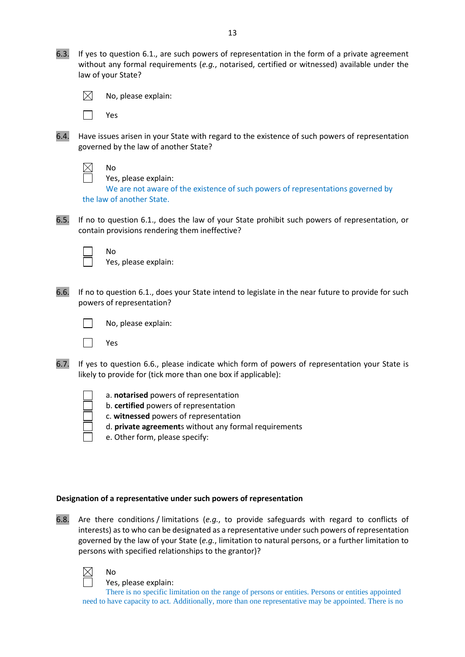6.3. If yes to question 6.1., are such powers of representation in the form of a private agreement without any formal requirements (*e.g.*, notarised, certified or witnessed) available under the law of your State?



No, please explain:

Yes

6.4. Have issues arisen in your State with regard to the existence of such powers of representation governed by the law of another State?

No

Yes, please explain:

We are not aware of the existence of such powers of representations governed by the law of another State.

6.5. If no to question 6.1., does the law of your State prohibit such powers of representation, or contain provisions rendering them ineffective?

No Yes, please explain:

6.6. If no to question 6.1., does your State intend to legislate in the near future to provide for such powers of representation?



Yes

- 6.7. If yes to question 6.6., please indicate which form of powers of representation your State is likely to provide for (tick more than one box if applicable):
	- a. **notarised** powers of representation
		- b. **certified** powers of representation
		- c. **witnessed** powers of representation
		- d. **private agreement**s without any formal requirements
		- e. Other form, please specify:

# **Designation of a representative under such powers of representation**

6.8. Are there conditions / limitations (*e.g.*, to provide safeguards with regard to conflicts of interests) as to who can be designated as a representative under such powers of representation governed by the law of your State (*e.g.*, limitation to natural persons, or a further limitation to persons with specified relationships to the grantor)?

 $\boxtimes$ 

No

Yes, please explain:

There is no specific limitation on the range of persons or entities. Persons or entities appointed need to have capacity to act. Additionally, more than one representative may be appointed. There is no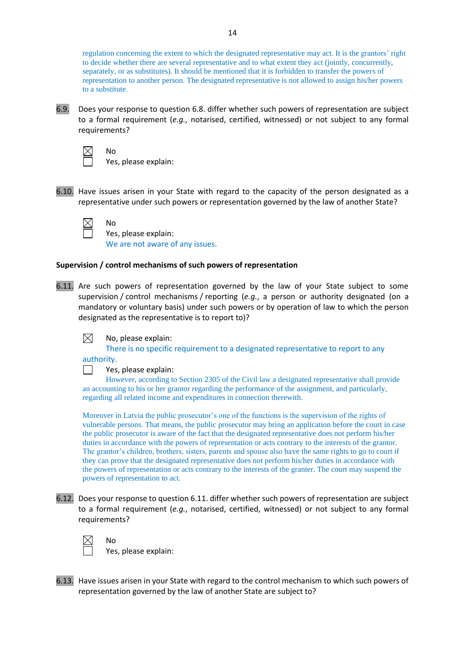regulation concerning the extent to which the designated representative may act. It is the grantors' right to decide whether there are several representative and to what extent they act (jointly, concurrently, separately, or as substitutes). It should be mentioned that it is forbidden to transfer the powers of representation to another person. The designated representative is not allowed to assign his/her powers to a substitute.

6.9. Does your response to question 6.8. differ whether such powers of representation are subject to a formal requirement (*e.g.*, notarised, certified, witnessed) or not subject to any formal requirements?

 $\boxtimes$ 

No

No

Yes, please explain:

6.10. Have issues arisen in your State with regard to the capacity of the person designated as a representative under such powers or representation governed by the law of another State?

Yes, please explain: We are not aware of any issues.

### **Supervision / control mechanisms of such powers of representation**

6.11. Are such powers of representation governed by the law of your State subject to some supervision / control mechanisms / reporting (*e.g.*, a person or authority designated (on a mandatory or voluntary basis) under such powers or by operation of law to which the person designated as the representative is to report to)?

#### $\boxtimes$ No, please explain:

There is no specific requirement to a designated representative to report to any

authority.

 $\perp$ 

Yes, please explain:

However, according to Section 2305 of the Civil law a designated representative shall provide an accounting to his or her grantor regarding the performance of the assignment, and particularly, regarding all related income and expenditures in connection therewith.

Moreover in Latvia the public prosecutor's one of the functions is the supervision of the rights of vulnerable persons. That means, the public prosecutor may bring an application before the court in case the public prosecutor is aware of the fact that the designated representative does not perform his/her duties in accordance with the powers of representation or acts contrary to the interests of the grantor. The grantor's children, brothers, sisters, parents and spouse also have the same rights to go to court if they can prove that the designated representative does not perform his/her duties in accordance with the powers of representation or acts contrary to the interests of the granter. The court may suspend the powers of representation to act.

6.12. Does your response to question 6.11. differ whether such powers of representation are subject to a formal requirement (*e.g.*, notarised, certified, witnessed) or not subject to any formal requirements?



No

Yes, please explain:

6.13. Have issues arisen in your State with regard to the control mechanism to which such powers of representation governed by the law of another State are subject to?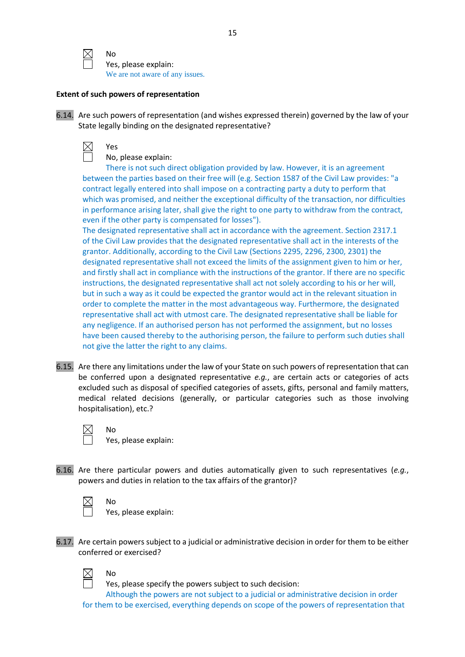

No Yes, please explain: We are not aware of any issues.

### **Extent of such powers of representation**

| 6.14. Are such powers of representation (and wishes expressed therein) governed by the law of your |
|----------------------------------------------------------------------------------------------------|
| State legally binding on the designated representative?                                            |

Yes

No, please explain:

There is not such direct obligation provided by law. However, it is an agreement between the parties based on their free will (e.g. Section 1587 of the Civil Law provides: "a contract legally entered into shall impose on a contracting party a duty to perform that which was promised, and neither the exceptional difficulty of the transaction, nor difficulties in performance arising later, shall give the right to one party to withdraw from the contract, even if the other party is compensated for losses").

The designated representative shall act in accordance with the agreement. Section 2317.1 of the Civil Law provides that the designated representative shall act in the interests of the grantor. Additionally, according to the Civil Law (Sections 2295, 2296, 2300, 2301) the designated representative shall not exceed the limits of the assignment given to him or her, and firstly shall act in compliance with the instructions of the grantor. If there are no specific instructions, the designated representative shall act not solely according to his or her will, but in such a way as it could be expected the grantor would act in the relevant situation in order to complete the matter in the most advantageous way. Furthermore, the designated representative shall act with utmost care. The designated representative shall be liable for any negligence. If an authorised person has not performed the assignment, but no losses have been caused thereby to the authorising person, the failure to perform such duties shall not give the latter the right to any claims.

6.15. Are there any limitations under the law of your State on such powers of representation that can be conferred upon a designated representative *e.g.*, are certain acts or categories of acts excluded such as disposal of specified categories of assets, gifts, personal and family matters, medical related decisions (generally, or particular categories such as those involving hospitalisation), etc.?

No

Yes, please explain:

6.16. Are there particular powers and duties automatically given to such representatives (*e.g.*, powers and duties in relation to the tax affairs of the grantor)?

No Yes, please explain:

6.17. Are certain powers subject to a judicial or administrative decision in order for them to be either conferred or exercised?



No

Yes, please specify the powers subject to such decision:

Although the powers are not subject to a judicial or administrative decision in order for them to be exercised, everything depends on scope of the powers of representation that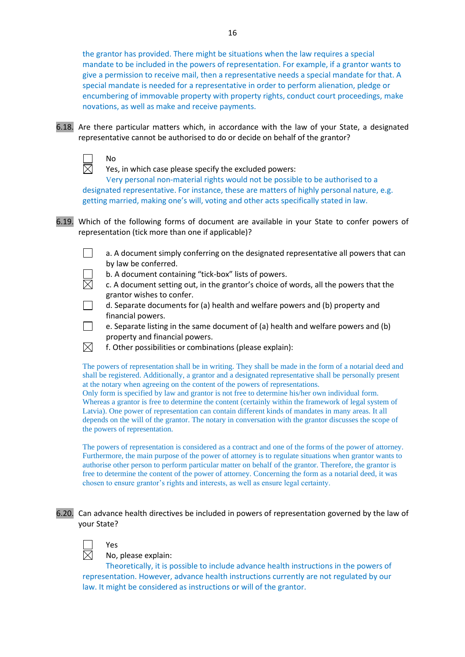the grantor has provided. There might be situations when the law requires a special mandate to be included in the powers of representation. For example, if a grantor wants to give a permission to receive mail, then a representative needs a special mandate for that. A special mandate is needed for a representative in order to perform alienation, pledge or encumbering of immovable property with property rights, conduct court proceedings, make novations, as well as make and receive payments.

6.18. Are there particular matters which, in accordance with the law of your State, a designated representative cannot be authorised to do or decide on behalf of the grantor?



No

Yes, in which case please specify the excluded powers:

Very personal non-material rights would not be possible to be authorised to a designated representative. For instance, these are matters of highly personal nature, e.g. getting married, making one's will, voting and other acts specifically stated in law.

6.19. Which of the following forms of document are available in your State to confer powers of representation (tick more than one if applicable)?

П a. A document simply conferring on the designated representative all powers that can by law be conferred.

b. A document containing "tick-box" lists of powers.

 $\overline{\times}$ c. A document setting out, in the grantor's choice of words, all the powers that the grantor wishes to confer.

d. Separate documents for (a) health and welfare powers and (b) property and financial powers.

e. Separate listing in the same document of (a) health and welfare powers and (b) property and financial powers.

 $\boxtimes$ f. Other possibilities or combinations (please explain):

The powers of representation shall be in writing. They shall be made in the form of a notarial deed and shall be registered. Additionally, a grantor and a designated representative shall be personally present at the notary when agreeing on the content of the powers of representations.

Only form is specified by law and grantor is not free to determine his/her own individual form. Whereas a grantor is free to determine the content (certainly within the framework of legal system of Latvia). One power of representation can contain different kinds of mandates in many areas. It all depends on the will of the grantor. The notary in conversation with the grantor discusses the scope of the powers of representation.

The powers of representation is considered as a contract and one of the forms of the power of attorney. Furthermore, the main purpose of the power of attorney is to regulate situations when grantor wants to authorise other person to perform particular matter on behalf of the grantor. Therefore, the grantor is free to determine the content of the power of attorney. Concerning the form as a notarial deed, it was chosen to ensure grantor's rights and interests, as well as ensure legal certainty.

6.20. Can advance health directives be included in powers of representation governed by the law of your State?



Yes

No, please explain:

Theoretically, it is possible to include advance health instructions in the powers of representation. However, advance health instructions currently are not regulated by our law. It might be considered as instructions or will of the grantor.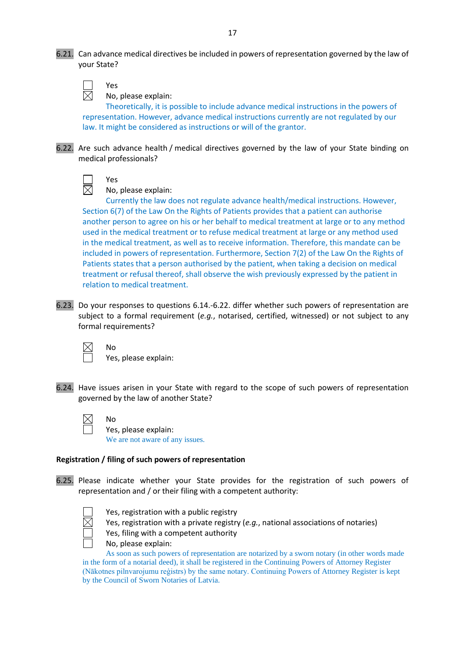6.21. Can advance medical directives be included in powers of representation governed by the law of your State?

Yes

medical professionals?

No, please explain:

Theoretically, it is possible to include advance medical instructions in the powers of representation. However, advance medical instructions currently are not regulated by our law. It might be considered as instructions or will of the grantor.

6.22. Are such advance health / medical directives governed by the law of your State binding on

| ۰ς. |
|-----|
| O   |

No, please explain:

Currently the law does not regulate advance health/medical instructions. However, Section 6(7) of the Law On the Rights of Patients provides that a patient can authorise another person to agree on his or her behalf to medical treatment at large or to any method used in the medical treatment or to refuse medical treatment at large or any method used in the medical treatment, as well as to receive information. Therefore, this mandate can be included in powers of representation. Furthermore, Section 7(2) of the Law On the Rights of Patients states that a person authorised by the patient, when taking a decision on medical treatment or refusal thereof, shall observe the wish previously expressed by the patient in relation to medical treatment.

6.23. Do your responses to questions 6.14.-6.22. differ whether such powers of representation are subject to a formal requirement (*e.g.*, notarised, certified, witnessed) or not subject to any formal requirements?

No

No

Yes, please explain:

6.24. Have issues arisen in your State with regard to the scope of such powers of representation governed by the law of another State?

Yes, please explain: We are not aware of any issues.

# **Registration / filing of such powers of representation**

6.25. Please indicate whether your State provides for the registration of such powers of representation and / or their filing with a competent authority:

Yes, registration with a public registry



No, please explain:

As soon as such powers of representation are notarized by a sworn notary (in other words made in the form of a notarial deed), it shall be registered in the Continuing Powers of Attorney Register (Nākotnes pilnvarojumu reģistrs) by the same notary. Continuing Powers of Attorney Register is kept by the Council of Sworn Notaries of Latvia.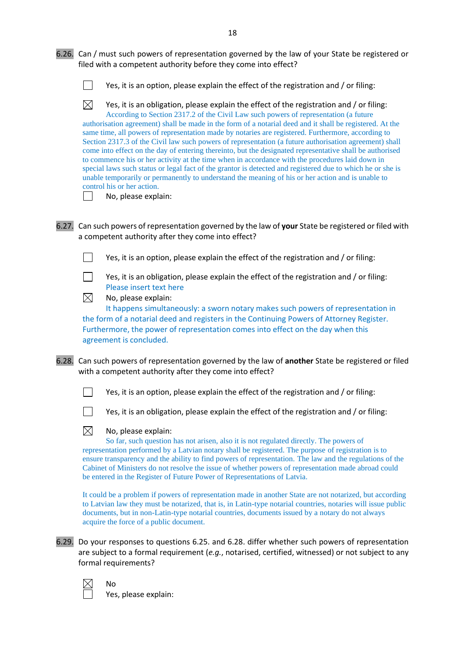6.26. Can / must such powers of representation governed by the law of your State be registered or filed with a competent authority before they come into effect?

 $\Box$ Yes, it is an option, please explain the effect of the registration and / or filing:

 $\boxtimes$ Yes, it is an obligation, please explain the effect of the registration and / or filing: According to Section 2317.2 of the Civil Law such powers of representation (a future authorisation agreement) shall be made in the form of a notarial deed and it shall be registered. At the same time, all powers of representation made by notaries are registered. Furthermore, according to Section 2317.3 of the Civil law such powers of representation (a future authorisation agreement) shall come into effect on the day of entering thereinto, but the designated representative shall be authorised to commence his or her activity at the time when in accordance with the procedures laid down in special laws such status or legal fact of the grantor is detected and registered due to which he or she is unable temporarily or permanently to understand the meaning of his or her action and is unable to control his or her action.

 $\Box$ 

No, please explain:

6.27. Can such powers of representation governed by the law of **your** State be registered or filed with a competent authority after they come into effect?

Yes, it is an option, please explain the effect of the registration and / or filing:

 $\Box$ Yes, it is an obligation, please explain the effect of the registration and / or filing: Please insert text here

 $\boxtimes$ No, please explain:

It happens simultaneously: a sworn notary makes such powers of representation in the form of a notarial deed and registers in the Continuing Powers of Attorney Register. Furthermore, the power of representation comes into effect on the day when this agreement is concluded.

6.28. Can such powers of representation governed by the law of **another** State be registered or filed with a competent authority after they come into effect?

Yes, it is an option, please explain the effect of the registration and / or filing:



П

Yes, it is an obligation, please explain the effect of the registration and / or filing:

#### $\boxtimes$ No, please explain:

So far, such question has not arisen, also it is not regulated directly. The powers of representation performed by a Latvian notary shall be registered. The purpose of registration is to ensure transparency and the ability to find powers of representation. The law and the regulations of the Cabinet of Ministers do not resolve the issue of whether powers of representation made abroad could be entered in the Register of Future Power of Representations of Latvia.

It could be a problem if powers of representation made in another State are not notarized, but according to Latvian law they must be notarized, that is, in Latin-type notarial countries, notaries will issue public documents, but in non-Latin-type notarial countries, documents issued by a notary do not always acquire the force of a public document.

6.29. Do your responses to questions 6.25. and 6.28. differ whether such powers of representation are subject to a formal requirement (*e.g.*, notarised, certified, witnessed) or not subject to any formal requirements?

No Yes, please explain: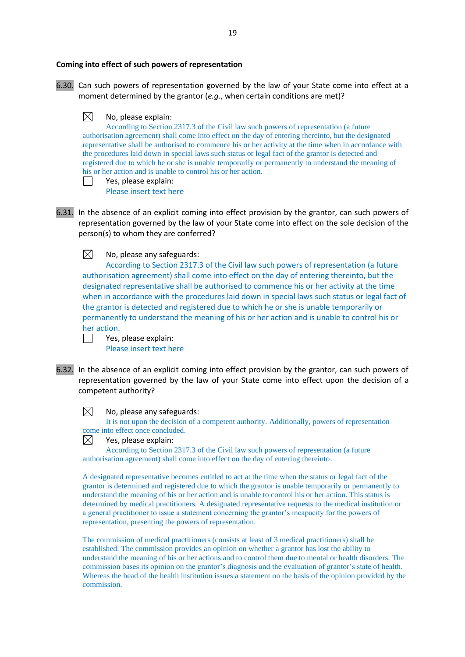### **Coming into effect of such powers of representation**

6.30. Can such powers of representation governed by the law of your State come into effect at a moment determined by the grantor (*e.g.*, when certain conditions are met)?



According to Section 2317.3 of the Civil law such powers of representation (a future authorisation agreement) shall come into effect on the day of entering thereinto, but the designated representative shall be authorised to commence his or her activity at the time when in accordance with the procedures laid down in special laws such status or legal fact of the grantor is detected and registered due to which he or she is unable temporarily or permanently to understand the meaning of his or her action and is unable to control his or her action. Yes, please explain:

Please insert text here

6.31. In the absence of an explicit coming into effect provision by the grantor, can such powers of representation governed by the law of your State come into effect on the sole decision of the person(s) to whom they are conferred?

 $\boxtimes$ No, please any safeguards:

According to Section 2317.3 of the Civil law such powers of representation (a future authorisation agreement) shall come into effect on the day of entering thereinto, but the designated representative shall be authorised to commence his or her activity at the time when in accordance with the procedures laid down in special laws such status or legal fact of the grantor is detected and registered due to which he or she is unable temporarily or permanently to understand the meaning of his or her action and is unable to control his or her action.

Yes, please explain: Please insert text here

6.32. In the absence of an explicit coming into effect provision by the grantor, can such powers of representation governed by the law of your State come into effect upon the decision of a competent authority?



### No, please any safeguards:

It is not upon the decision of a competent authority. Additionally, powers of representation come into effect once concluded.



According to Section 2317.3 of the Civil law such powers of representation (a future authorisation agreement) shall come into effect on the day of entering thereinto.

A designated representative becomes entitled to act at the time when the status or legal fact of the grantor is determined and registered due to which the grantor is unable temporarily or permanently to understand the meaning of his or her action and is unable to control his or her action. This status is determined by medical practitioners. A designated representative requests to the medical institution or a general practitioner to issue a statement concerning the grantor's incapacity for the powers of representation, presenting the powers of representation.

The commission of medical practitioners (consists at least of 3 medical practitioners) shall be established. The commission provides an opinion on whether a grantor has lost the ability to understand the meaning of his or her actions and to control them due to mental or health disorders. The commission bases its opinion on the grantor's diagnosis and the evaluation of grantor's state of health. Whereas the head of the health institution issues a statement on the basis of the opinion provided by the commission.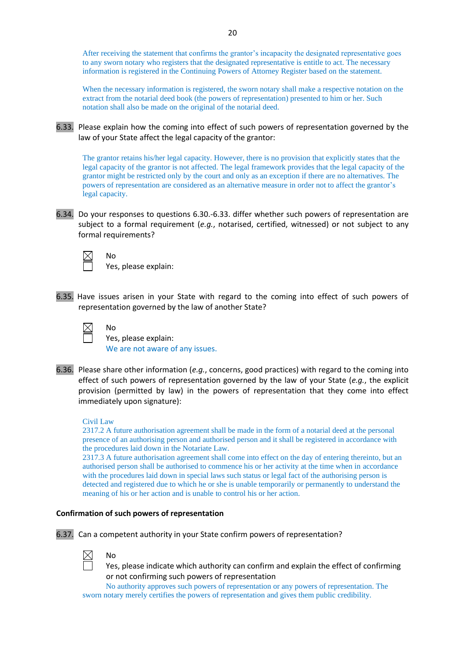After receiving the statement that confirms the grantor's incapacity the designated representative goes to any sworn notary who registers that the designated representative is entitle to act. The necessary information is registered in the Continuing Powers of Attorney Register based on the statement.

When the necessary information is registered, the sworn notary shall make a respective notation on the extract from the notarial deed book (the powers of representation) presented to him or her. Such notation shall also be made on the original of the notarial deed.

6.33. Please explain how the coming into effect of such powers of representation governed by the law of your State affect the legal capacity of the grantor:

The grantor retains his/her legal capacity. However, there is no provision that explicitly states that the legal capacity of the grantor is not affected. The legal framework provides that the legal capacity of the grantor might be restricted only by the court and only as an exception if there are no alternatives. The powers of representation are considered as an alternative measure in order not to affect the grantor's legal capacity.

6.34. Do your responses to questions 6.30.-6.33. differ whether such powers of representation are subject to a formal requirement (*e.g.*, notarised, certified, witnessed) or not subject to any formal requirements?

 $\boxtimes$ 

No

No

Yes, please explain:

6.35. Have issues arisen in your State with regard to the coming into effect of such powers of representation governed by the law of another State?

Yes, please explain: We are not aware of any issues.

6.36. Please share other information (*e.g.*, concerns, good practices) with regard to the coming into effect of such powers of representation governed by the law of your State (*e.g.*, the explicit provision (permitted by law) in the powers of representation that they come into effect immediately upon signature):

### Civil Law

2317.2 A future authorisation agreement shall be made in the form of a notarial deed at the personal presence of an authorising person and authorised person and it shall be registered in accordance with the procedures laid down in the Notariate Law.

2317.3 A future authorisation agreement shall come into effect on the day of entering thereinto, but an authorised person shall be authorised to commence his or her activity at the time when in accordance with the procedures laid down in special laws such status or legal fact of the authorising person is detected and registered due to which he or she is unable temporarily or permanently to understand the meaning of his or her action and is unable to control his or her action.

### **Confirmation of such powers of representation**

6.37. Can a competent authority in your State confirm powers of representation?

No

Yes, please indicate which authority can confirm and explain the effect of confirming or not confirming such powers of representation

No authority approves such powers of representation or any powers of representation. The sworn notary merely certifies the powers of representation and gives them public credibility.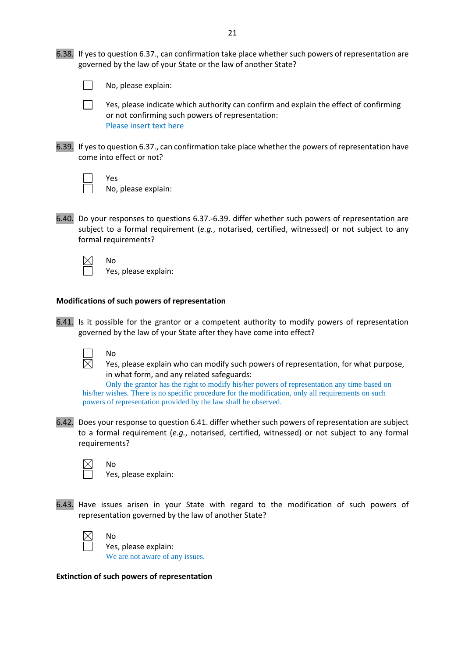6.38. If yes to question 6.37., can confirmation take place whether such powers of representation are governed by the law of your State or the law of another State?

 $\Box$ No, please explain:

> Yes, please indicate which authority can confirm and explain the effect of confirming or not confirming such powers of representation: Please insert text here

6.39. If yes to question 6.37., can confirmation take place whether the powers of representation have come into effect or not?

 $\Box$ 

Yes

No

No

No, please explain:

6.40. Do your responses to questions 6.37.-6.39. differ whether such powers of representation are subject to a formal requirement (*e.g.*, notarised, certified, witnessed) or not subject to any formal requirements?

Yes, please explain:

### **Modifications of such powers of representation**

6.41. Is it possible for the grantor or a competent authority to modify powers of representation governed by the law of your State after they have come into effect?



Yes, please explain who can modify such powers of representation, for what purpose, in what form, and any related safeguards:

Only the grantor has the right to modify his/her powers of representation any time based on his/her wishes. There is no specific procedure for the modification, only all requirements on such powers of representation provided by the law shall be observed.

6.42. Does your response to question 6.41. differ whether such powers of representation are subject to a formal requirement (*e.g.*, notarised, certified, witnessed) or not subject to any formal requirements?

No

No

Yes, please explain:

6.43. Have issues arisen in your State with regard to the modification of such powers of representation governed by the law of another State?



Yes, please explain: We are not aware of any issues.

**Extinction of such powers of representation**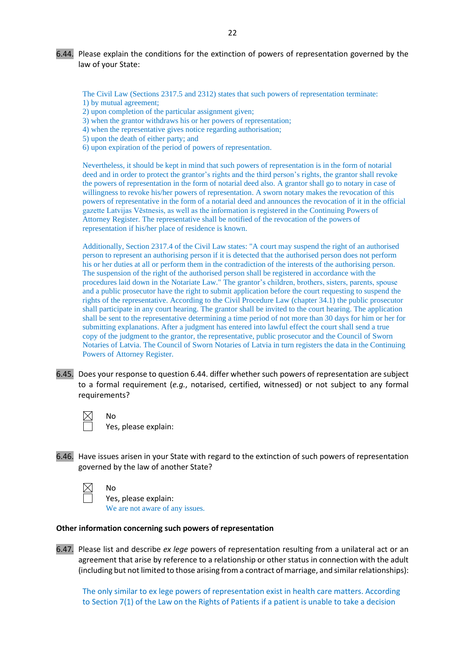6.44. Please explain the conditions for the extinction of powers of representation governed by the law of your State:

The Civil Law (Sections 2317.5 and 2312) states that such powers of representation terminate: 1) by mutual agreement;

- 2) upon completion of the particular assignment given;
- 3) when the grantor withdraws his or her powers of representation;
- 4) when the representative gives notice regarding authorisation;
- 5) upon the death of either party; and
- 6) upon expiration of the period of powers of representation.

Nevertheless, it should be kept in mind that such powers of representation is in the form of notarial deed and in order to protect the grantor's rights and the third person's rights, the grantor shall revoke the powers of representation in the form of notarial deed also. A grantor shall go to notary in case of willingness to revoke his/her powers of representation. A sworn notary makes the revocation of this powers of representative in the form of a notarial deed and announces the revocation of it in the official gazette Latvijas Vēstnesis, as well as the information is registered in the Continuing Powers of Attorney Register. The representative shall be notified of the revocation of the powers of representation if his/her place of residence is known.

Additionally, Section 2317.4 of the Civil Law states: "A court may suspend the right of an authorised person to represent an authorising person if it is detected that the authorised person does not perform his or her duties at all or perform them in the contradiction of the interests of the authorising person. The suspension of the right of the authorised person shall be registered in accordance with the procedures laid down in the Notariate Law." The grantor's children, brothers, sisters, parents, spouse and a public prosecutor have the right to submit application before the court requesting to suspend the rights of the representative. According to the Civil Procedure Law (chapter 34.1) the public prosecutor shall participate in any court hearing. The grantor shall be invited to the court hearing. The application shall be sent to the representative determining a time period of not more than 30 days for him or her for submitting explanations. After a judgment has entered into lawful effect the court shall send a true copy of the judgment to the grantor, the representative, public prosecutor and the Council of Sworn Notaries of Latvia. The Council of Sworn Notaries of Latvia in turn registers the data in the Continuing Powers of Attorney Register.

6.45. Does your response to question 6.44. differ whether such powers of representation are subject to a formal requirement (*e.g.*, notarised, certified, witnessed) or not subject to any formal requirements?

> No Yes, please explain:

6.46. Have issues arisen in your State with regard to the extinction of such powers of representation governed by the law of another State?

No

Yes, please explain: We are not aware of any issues.

### **Other information concerning such powers of representation**

6.47. Please list and describe *ex lege* powers of representation resulting from a unilateral act or an agreement that arise by reference to a relationship or other status in connection with the adult (including but not limited to those arising from a contract of marriage, and similar relationships):

The only similar to ex lege powers of representation exist in health care matters. According to Section 7(1) of the Law on the Rights of Patients if a patient is unable to take a decision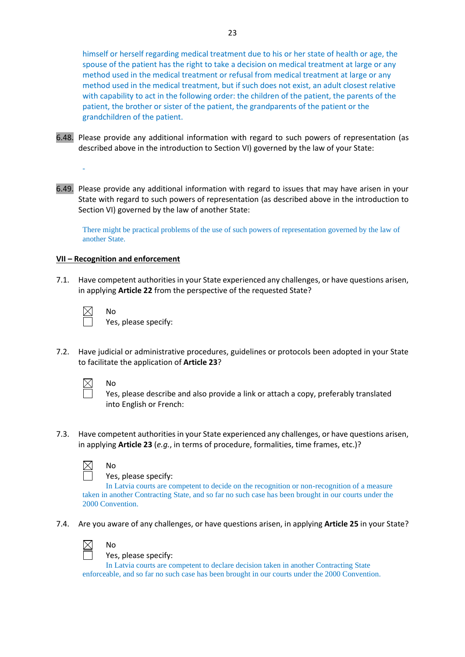himself or herself regarding medical treatment due to his or her state of health or age, the spouse of the patient has the right to take a decision on medical treatment at large or any method used in the medical treatment or refusal from medical treatment at large or any method used in the medical treatment, but if such does not exist, an adult closest relative with capability to act in the following order: the children of the patient, the parents of the patient, the brother or sister of the patient, the grandparents of the patient or the grandchildren of the patient.

- 6.48. Please provide any additional information with regard to such powers of representation (as described above in the introduction to Section VI) governed by the law of your State:
- 6.49. Please provide any additional information with regard to issues that may have arisen in your State with regard to such powers of representation (as described above in the introduction to Section VI) governed by the law of another State:

There might be practical problems of the use of such powers of representation governed by the law of another State.

### **VII – Recognition and enforcement**

No

No

No

No

7.1. Have competent authorities in your State experienced any challenges, or have questions arisen, in applying **Article 22** from the perspective of the requested State?

-

Yes, please specify:

7.2. Have judicial or administrative procedures, guidelines or protocols been adopted in your State to facilitate the application of **Article 23**?



Yes, please describe and also provide a link or attach a copy, preferably translated into English or French:

7.3. Have competent authorities in your State experienced any challenges, or have questions arisen, in applying **Article 23** (*e.g.*, in terms of procedure, formalities, time frames, etc.)?



Yes, please specify:

In Latvia courts are competent to decide on the recognition or non-recognition of a measure taken in another Contracting State, and so far no such case has been brought in our courts under the 2000 Convention.

7.4. Are you aware of any challenges, or have questions arisen, in applying **Article 25** in your State?



### Yes, please specify:

In Latvia courts are competent to declare decision taken in another Contracting State enforceable, and so far no such case has been brought in our courts under the 2000 Convention.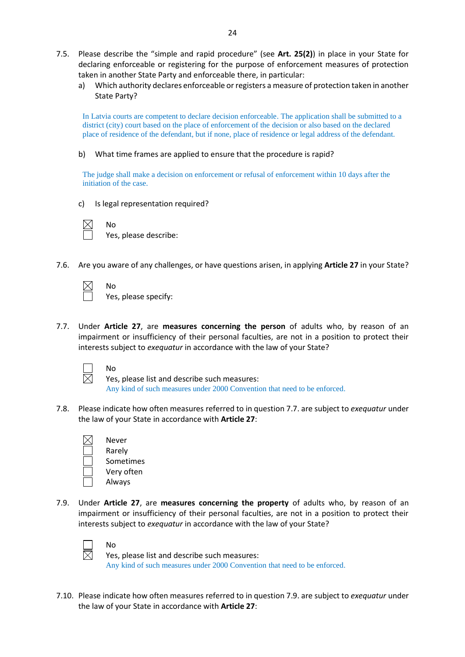- 7.5. Please describe the "simple and rapid procedure" (see **Art. 25(2)**) in place in your State for declaring enforceable or registering for the purpose of enforcement measures of protection taken in another State Party and enforceable there, in particular:
	- a) Which authority declares enforceable or registers a measure of protection taken in another State Party?

In Latvia courts are competent to declare decision enforceable. The application shall be submitted to a district (city) court based on the place of enforcement of the decision or also based on the declared place of residence of the defendant, but if none, place of residence or legal address of the defendant.

b) What time frames are applied to ensure that the procedure is rapid?

The judge shall make a decision on enforcement or refusal of enforcement within 10 days after the initiation of the case.

c) Is legal representation required?

No

No

No

Yes, please describe:

7.6. Are you aware of any challenges, or have questions arisen, in applying **Article 27** in your State?

Yes, please specify:

7.7. Under **Article 27**, are **measures concerning the person** of adults who, by reason of an impairment or insufficiency of their personal faculties, are not in a position to protect their interests subject to *exequatur* in accordance with the law of your State?



Yes, please list and describe such measures: Any kind of such measures under 2000 Convention that need to be enforced.

- 7.8. Please indicate how often measures referred to in question 7.7. are subject to *exequatur* under the law of your State in accordance with **Article 27**:
	- Never Rarely Sometimes Very often Always

No

7.9. Under **Article 27**, are **measures concerning the property** of adults who, by reason of an impairment or insufficiency of their personal faculties, are not in a position to protect their interests subject to *exequatur* in accordance with the law of your State?



Yes, please list and describe such measures: Any kind of such measures under 2000 Convention that need to be enforced.

7.10. Please indicate how often measures referred to in question 7.9. are subject to *exequatur* under the law of your State in accordance with **Article 27**: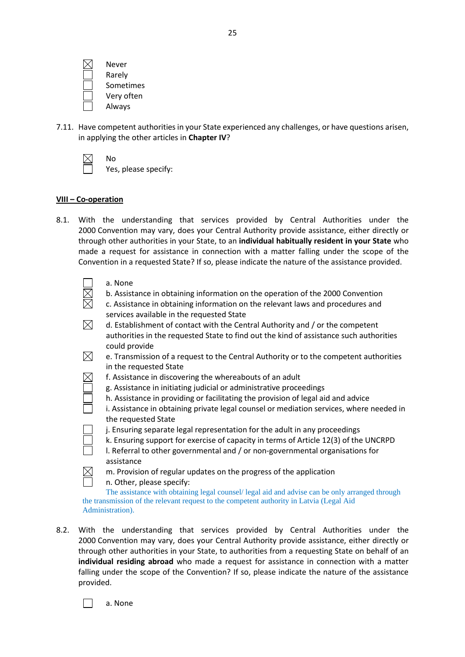| Never      |
|------------|
| Rarely     |
| Sometimes  |
| Very often |
| Always     |

7.11. Have competent authorities in your State experienced any challenges, or have questions arisen, in applying the other articles in **Chapter IV**?

No Yes, please specify:

### **VIII – Co-operation**

8.1. With the understanding that services provided by Central Authorities under the 2000 Convention may vary, does your Central Authority provide assistance, either directly or through other authorities in your State, to an **individual habitually resident in your State** who made a request for assistance in connection with a matter falling under the scope of the Convention in a requested State? If so, please indicate the nature of the assistance provided.

- b. Assistance in obtaining information on the operation of the 2000 Convention
- c. Assistance in obtaining information on the relevant laws and procedures and services available in the requested State
- $\boxtimes$ d. Establishment of contact with the Central Authority and / or the competent authorities in the requested State to find out the kind of assistance such authorities could provide
- $\boxtimes$ e. Transmission of a request to the Central Authority or to the competent authorities in the requested State
- $\times$ f. Assistance in discovering the whereabouts of an adult
	- g. Assistance in initiating judicial or administrative proceedings
	- h. Assistance in providing or facilitating the provision of legal aid and advice
	- i. Assistance in obtaining private legal counsel or mediation services, where needed in the requested State
	- j. Ensuring separate legal representation for the adult in any proceedings
	- k. Ensuring support for exercise of capacity in terms of Article 12(3) of the UNCRPD
	- l. Referral to other governmental and / or non-governmental organisations for assistance
- $\boxtimes$ m. Provision of regular updates on the progress of the application
	- n. Other, please specify:

The assistance with obtaining legal counsel/ legal aid and advise can be only arranged through the transmission of the relevant request to the competent authority in Latvia (Legal Aid Administration).

8.2. With the understanding that services provided by Central Authorities under the 2000 Convention may vary, does your Central Authority provide assistance, either directly or through other authorities in your State, to authorities from a requesting State on behalf of an **individual residing abroad** who made a request for assistance in connection with a matter falling under the scope of the Convention? If so, please indicate the nature of the assistance provided.

a. None

 $\perp$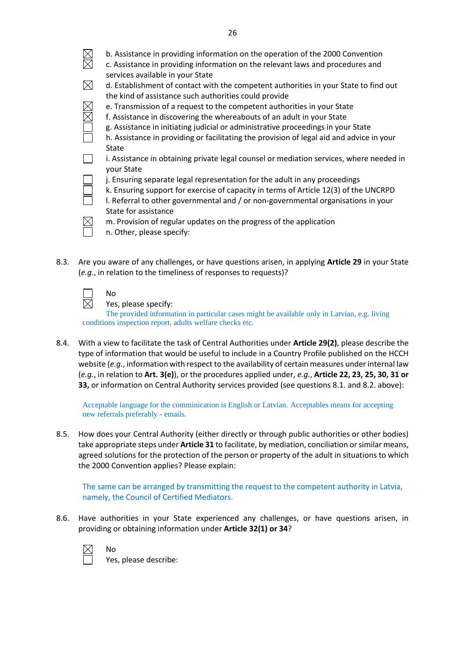| b. Assistance in providing information on the operation of the 2000 Convention<br>c. Assistance in providing information on the relevant laws and procedures and<br>services available in your State |
|------------------------------------------------------------------------------------------------------------------------------------------------------------------------------------------------------|
| d. Establishment of contact with the competent authorities in your State to find out                                                                                                                 |
| the kind of assistance such authorities could provide                                                                                                                                                |
| e. Transmission of a request to the competent authorities in your State                                                                                                                              |
| f. Assistance in discovering the whereabouts of an adult in your State                                                                                                                               |
| g. Assistance in initiating judicial or administrative proceedings in your State                                                                                                                     |
| h. Assistance in providing or facilitating the provision of legal aid and advice in your                                                                                                             |
| State                                                                                                                                                                                                |
| i. Assistance in obtaining private legal counsel or mediation services, where needed in<br>your State                                                                                                |
| j. Ensuring separate legal representation for the adult in any proceedings                                                                                                                           |
| k. Ensuring support for exercise of capacity in terms of Article 12(3) of the UNCRPD                                                                                                                 |
| I. Referral to other governmental and / or non-governmental organisations in your                                                                                                                    |
|                                                                                                                                                                                                      |

State for assistance m. Provision of regular updates on the progress of the application



 $\boxtimes$ 

**NNA** 

- n. Other, please specify:
- 8.3. Are you aware of any challenges, or have questions arisen, in applying **Article 29** in your State (*e.g.*, in relation to the timeliness of responses to requests)?

No

Yes, please specify:

The provided information in particular cases might be available only in Latvian, e.g. living conditions inspection report, adults welfare checks etc.

8.4. With a view to facilitate the task of Central Authorities under **Article 29(2)**, please describe the type of information that would be useful to include in a Country Profile published on the HCCH website (*e.g.*, information with respect to the availability of certain measures under internal law (*e.g.*, in relation to **Art. 3(e)**), or the procedures applied under, *e.g.*, **Article 22, 23, 25, 30, 31 or 33,** or information on Central Authority services provided (see questions 8.1. and 8.2. above):

Acceptable language for the comminication is English or Latvian. Acceptables means for accepting new referrals preferably - emails.

8.5. How does your Central Authority (either directly or through public authorities or other bodies) take appropriate steps under **Article 31** to facilitate, by mediation, conciliation or similar means, agreed solutions for the protection of the person or property of the adult in situations to which the 2000 Convention applies? Please explain:

The same can be arranged by transmitting the request to the competent authority in Latvia, namely, the Council of Certified Mediators.

8.6. Have authorities in your State experienced any challenges, or have questions arisen, in providing or obtaining information under **Article 32(1) or 34**?

No

Yes, please describe: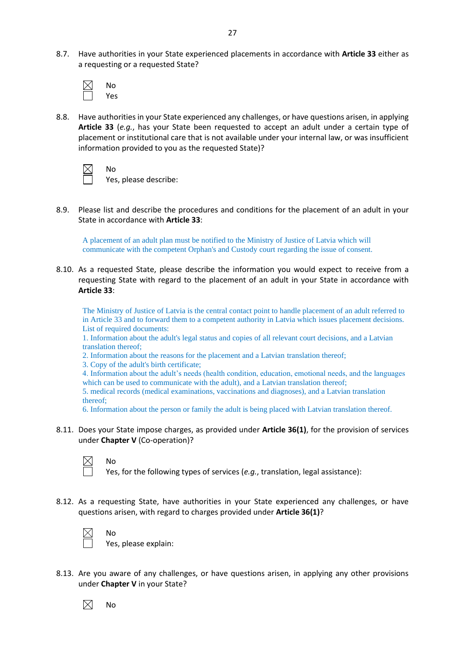8.7. Have authorities in your State experienced placements in accordance with **Article 33** either as a requesting or a requested State?

| N٥  |
|-----|
| Yes |

8.8. Have authorities in your State experienced any challenges, or have questions arisen, in applying **Article 33** (*e.g.*, has your State been requested to accept an adult under a certain type of placement or institutional care that is not available under your internal law, or was insufficient information provided to you as the requested State)?

No

Yes, please describe:

8.9. Please list and describe the procedures and conditions for the placement of an adult in your State in accordance with **Article 33**:

A placement of an adult plan must be notified to the Ministry of Justice of Latvia which will communicate with the competent Orphan's and Custody court regarding the issue of consent.

8.10. As a requested State, please describe the information you would expect to receive from a requesting State with regard to the placement of an adult in your State in accordance with **Article 33**:

The Ministry of Justice of Latvia is the central contact point to handle placement of an adult referred to in Article 33 and to forward them to a competent authority in Latvia which issues placement decisions. List of required documents:

1. Information about the adult's legal status and copies of all relevant court decisions, and a Latvian translation thereof;

2. Information about the reasons for the placement and a Latvian translation thereof;

3. Copy of the adult's birth certificate;

4. Information about the adult's needs (health condition, education, emotional needs, and the languages which can be used to communicate with the adult), and a Latvian translation thereof;

5. medical records (medical examinations, vaccinations and diagnoses), and a Latvian translation thereof;

6. Information about the person or family the adult is being placed with Latvian translation thereof.

8.11. Does your State impose charges, as provided under **Article 36(1)**, for the provision of services under **Chapter V** (Co-operation)?

No

No

Yes, for the following types of services (*e.g.*, translation, legal assistance):

8.12. As a requesting State, have authorities in your State experienced any challenges, or have questions arisen, with regard to charges provided under **Article 36(1)**?



Yes, please explain:

8.13. Are you aware of any challenges, or have questions arisen, in applying any other provisions under **Chapter V** in your State?

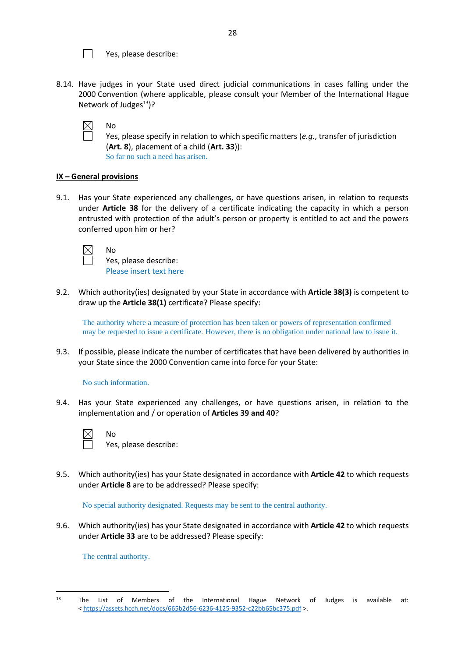

Yes, please describe:

8.14. Have judges in your State used direct judicial communications in cases falling under the 2000 Convention (where applicable, please consult your Member of the International Hague Network of Judges $^{13}$ ?

No

Yes, please specify in relation to which specific matters (*e.g.*, transfer of jurisdiction (**Art. 8**), placement of a child (**Art. 33**)): So far no such a need has arisen.

### **IX – General provisions**

9.1. Has your State experienced any challenges, or have questions arisen, in relation to requests under **Article 38** for the delivery of a certificate indicating the capacity in which a person entrusted with protection of the adult's person or property is entitled to act and the powers conferred upon him or her?

No

Yes, please describe: Please insert text here

9.2. Which authority(ies) designated by your State in accordance with **Article 38(3)** is competent to draw up the **Article 38(1)** certificate? Please specify:

The authority where a measure of protection has been taken or powers of representation confirmed may be requested to issue a certificate. However, there is no obligation under national law to issue it.

9.3. If possible, please indicate the number of certificates that have been delivered by authorities in your State since the 2000 Convention came into force for your State:

### No such information.

No

9.4. Has your State experienced any challenges, or have questions arisen, in relation to the implementation and / or operation of **Articles 39 and 40**?



Yes, please describe:

9.5. Which authority(ies) has your State designated in accordance with **Article 42** to which requests under **Article 8** are to be addressed? Please specify:

No special authority designated. Requests may be sent to the central authority.

9.6. Which authority(ies) has your State designated in accordance with **Article 42** to which requests under **Article 33** are to be addressed? Please specify:

The central authority.

<sup>13</sup> The List of Members of the International Hague Network of Judges is available at: < <https://assets.hcch.net/docs/665b2d56-6236-4125-9352-c22bb65bc375.pdf> >.